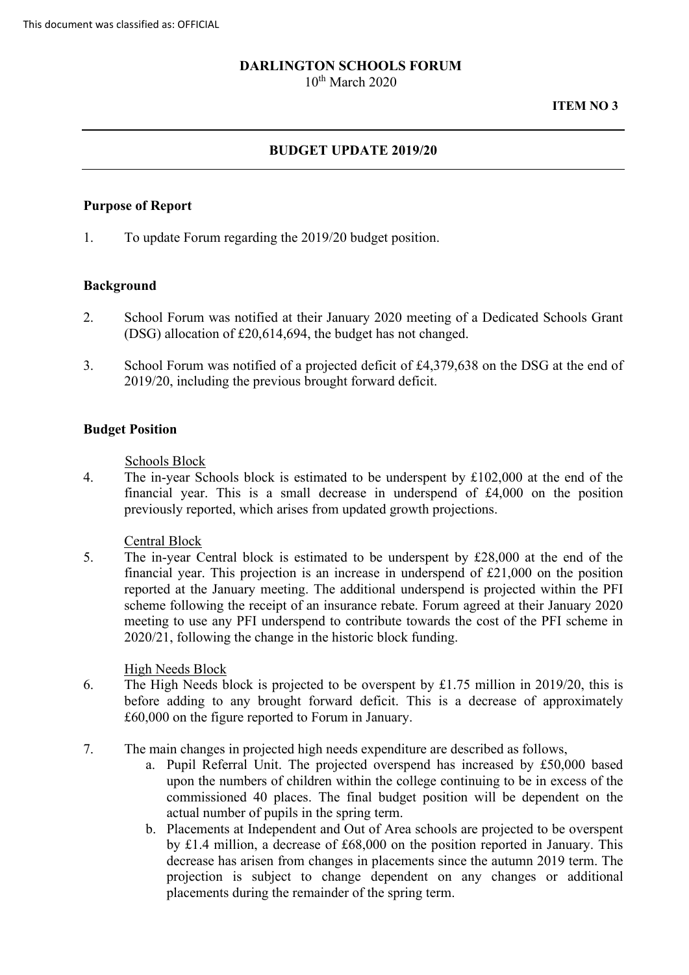### **DARLINGTON SCHOOLS FORUM**

 $10^{th}$  March 2020

#### **ITEM NO 3**

# **BUDGET UPDATE 2019/20**

### **Purpose of Report**

1. To update Forum regarding the 2019/20 budget position.

#### **Background**

- 2. School Forum was notified at their January 2020 meeting of a Dedicated Schools Grant (DSG) allocation of £20,614,694, the budget has not changed.
- 3. School Forum was notified of a projected deficit of £4,379,638 on the DSG at the end of 2019/20, including the previous brought forward deficit.

#### **Budget Position**

Schools Block

4. The in-year Schools block is estimated to be underspent by £102,000 at the end of the financial year. This is a small decrease in underspend of £4,000 on the position previously reported, which arises from updated growth projections.

#### Central Block

 financial year. This projection is an increase in underspend of £21,000 on the position 5. The in-year Central block is estimated to be underspent by £28,000 at the end of the reported at the January meeting. The additional underspend is projected within the PFI scheme following the receipt of an insurance rebate. Forum agreed at their January 2020 meeting to use any PFI underspend to contribute towards the cost of the PFI scheme in 2020/21, following the change in the historic block funding.

#### High Needs Block

- before adding to any brought forward deficit. This is a decrease of approximately 6. The High Needs block is projected to be overspent by £1.75 million in 2019/20, this is £60,000 on the figure reported to Forum in January.
- 7. The main changes in projected high needs expenditure are described as follows,
	- a. Pupil Referral Unit. The projected overspend has increased by £50,000 based upon the numbers of children within the college continuing to be in excess of the commissioned 40 places. The final budget position will be dependent on the actual number of pupils in the spring term.
	- by £1.4 million, a decrease of £68,000 on the position reported in January. This b. Placements at Independent and Out of Area schools are projected to be overspent decrease has arisen from changes in placements since the autumn 2019 term. The projection is subject to change dependent on any changes or additional placements during the remainder of the spring term.